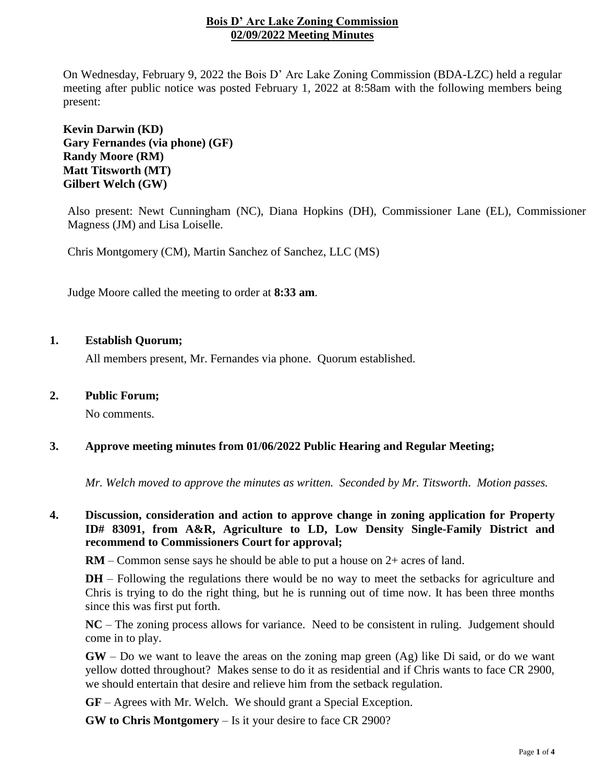## **Bois D' Arc Lake Zoning Commission 02/09/2022 Meeting Minutes**

On Wednesday, February 9, 2022 the Bois D' Arc Lake Zoning Commission (BDA-LZC) held a regular meeting after public notice was posted February 1, 2022 at 8:58am with the following members being present:

**Kevin Darwin (KD) Gary Fernandes (via phone) (GF) Randy Moore (RM) Matt Titsworth (MT) Gilbert Welch (GW)**

Also present: Newt Cunningham (NC), Diana Hopkins (DH), Commissioner Lane (EL), Commissioner Magness (JM) and Lisa Loiselle.

Chris Montgomery (CM), Martin Sanchez of Sanchez, LLC (MS)

Judge Moore called the meeting to order at **8:33 am**.

## **1. Establish Quorum;**

All members present, Mr. Fernandes via phone. Quorum established.

### **2. Public Forum;**

No comments.

## **3. Approve meeting minutes from 01/06/2022 Public Hearing and Regular Meeting;**

*Mr. Welch moved to approve the minutes as written. Seconded by Mr. Titsworth*. *Motion passes.*

# **4. Discussion, consideration and action to approve change in zoning application for Property ID# 83091, from A&R, Agriculture to LD, Low Density Single-Family District and recommend to Commissioners Court for approval;**

**RM** – Common sense says he should be able to put a house on 2+ acres of land.

**DH** – Following the regulations there would be no way to meet the setbacks for agriculture and Chris is trying to do the right thing, but he is running out of time now. It has been three months since this was first put forth.

**NC** – The zoning process allows for variance. Need to be consistent in ruling. Judgement should come in to play.

**GW** – Do we want to leave the areas on the zoning map green (Ag) like Di said, or do we want yellow dotted throughout? Makes sense to do it as residential and if Chris wants to face CR 2900, we should entertain that desire and relieve him from the setback regulation.

**GF** – Agrees with Mr. Welch. We should grant a Special Exception.

**GW to Chris Montgomery** – Is it your desire to face CR 2900?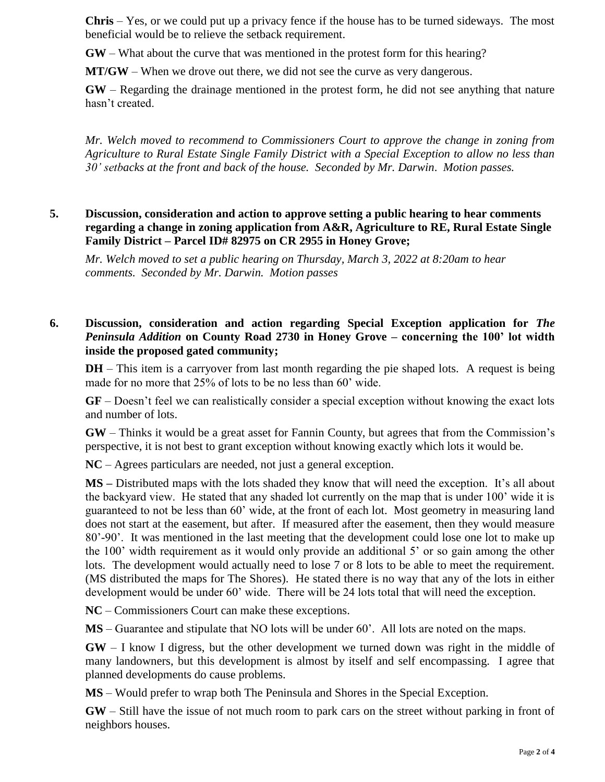**Chris** – Yes, or we could put up a privacy fence if the house has to be turned sideways. The most beneficial would be to relieve the setback requirement.

**GW** – What about the curve that was mentioned in the protest form for this hearing?

**MT/GW** – When we drove out there, we did not see the curve as very dangerous.

**GW** – Regarding the drainage mentioned in the protest form, he did not see anything that nature hasn't created.

*Mr. Welch moved to recommend to Commissioners Court to approve the change in zoning from Agriculture to Rural Estate Single Family District with a Special Exception to allow no less than 30' setbacks at the front and back of the house. Seconded by Mr. Darwin*. *Motion passes.*

# **5. Discussion, consideration and action to approve setting a public hearing to hear comments regarding a change in zoning application from A&R, Agriculture to RE, Rural Estate Single Family District – Parcel ID# 82975 on CR 2955 in Honey Grove;**

*Mr. Welch moved to set a public hearing on Thursday, March 3, 2022 at 8:20am to hear comments. Seconded by Mr. Darwin. Motion passes*

# **6. Discussion, consideration and action regarding Special Exception application for** *The Peninsula Addition* **on County Road 2730 in Honey Grove – concerning the 100' lot width inside the proposed gated community;**

**DH** – This item is a carryover from last month regarding the pie shaped lots. A request is being made for no more that 25% of lots to be no less than 60' wide.

**GF** – Doesn't feel we can realistically consider a special exception without knowing the exact lots and number of lots.

**GW** – Thinks it would be a great asset for Fannin County, but agrees that from the Commission's perspective, it is not best to grant exception without knowing exactly which lots it would be.

**NC** – Agrees particulars are needed, not just a general exception.

**MS –** Distributed maps with the lots shaded they know that will need the exception. It's all about the backyard view. He stated that any shaded lot currently on the map that is under 100' wide it is guaranteed to not be less than 60' wide, at the front of each lot. Most geometry in measuring land does not start at the easement, but after. If measured after the easement, then they would measure 80'-90'. It was mentioned in the last meeting that the development could lose one lot to make up the 100' width requirement as it would only provide an additional 5' or so gain among the other lots. The development would actually need to lose 7 or 8 lots to be able to meet the requirement. (MS distributed the maps for The Shores). He stated there is no way that any of the lots in either development would be under 60' wide. There will be 24 lots total that will need the exception.

**NC** – Commissioners Court can make these exceptions.

**MS** – Guarantee and stipulate that NO lots will be under 60'. All lots are noted on the maps.

**GW** – I know I digress, but the other development we turned down was right in the middle of many landowners, but this development is almost by itself and self encompassing. I agree that planned developments do cause problems.

**MS** – Would prefer to wrap both The Peninsula and Shores in the Special Exception.

**GW** – Still have the issue of not much room to park cars on the street without parking in front of neighbors houses.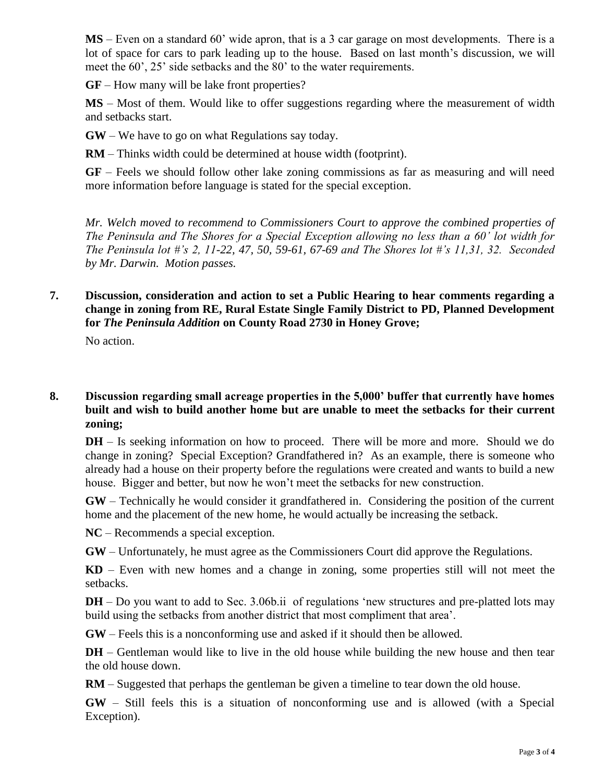**MS** – Even on a standard 60' wide apron, that is a 3 car garage on most developments. There is a lot of space for cars to park leading up to the house. Based on last month's discussion, we will meet the 60', 25' side setbacks and the 80' to the water requirements.

**GF** – How many will be lake front properties?

**MS** – Most of them. Would like to offer suggestions regarding where the measurement of width and setbacks start.

**GW** – We have to go on what Regulations say today.

**RM** – Thinks width could be determined at house width (footprint).

**GF** – Feels we should follow other lake zoning commissions as far as measuring and will need more information before language is stated for the special exception.

*Mr. Welch moved to recommend to Commissioners Court to approve the combined properties of The Peninsula and The Shores for a Special Exception allowing no less than a 60' lot width for The Peninsula lot #'s 2, 11-22, 47, 50, 59-61, 67-69 and The Shores lot #'s 11,31, 32. Seconded by Mr. Darwin. Motion passes.* 

## **7. Discussion, consideration and action to set a Public Hearing to hear comments regarding a change in zoning from RE, Rural Estate Single Family District to PD, Planned Development for** *The Peninsula Addition* **on County Road 2730 in Honey Grove;**

No action.

## **8. Discussion regarding small acreage properties in the 5,000' buffer that currently have homes built and wish to build another home but are unable to meet the setbacks for their current zoning;**

**DH** – Is seeking information on how to proceed. There will be more and more. Should we do change in zoning? Special Exception? Grandfathered in? As an example, there is someone who already had a house on their property before the regulations were created and wants to build a new house. Bigger and better, but now he won't meet the setbacks for new construction.

**GW** – Technically he would consider it grandfathered in. Considering the position of the current home and the placement of the new home, he would actually be increasing the setback.

**NC** – Recommends a special exception.

**GW** – Unfortunately, he must agree as the Commissioners Court did approve the Regulations.

**KD** – Even with new homes and a change in zoning, some properties still will not meet the setbacks.

**DH** – Do you want to add to Sec. 3.06b.ii of regulations 'new structures and pre-platted lots may build using the setbacks from another district that most compliment that area'.

**GW** – Feels this is a nonconforming use and asked if it should then be allowed.

**DH** – Gentleman would like to live in the old house while building the new house and then tear the old house down.

**RM** – Suggested that perhaps the gentleman be given a timeline to tear down the old house.

**GW** – Still feels this is a situation of nonconforming use and is allowed (with a Special Exception).